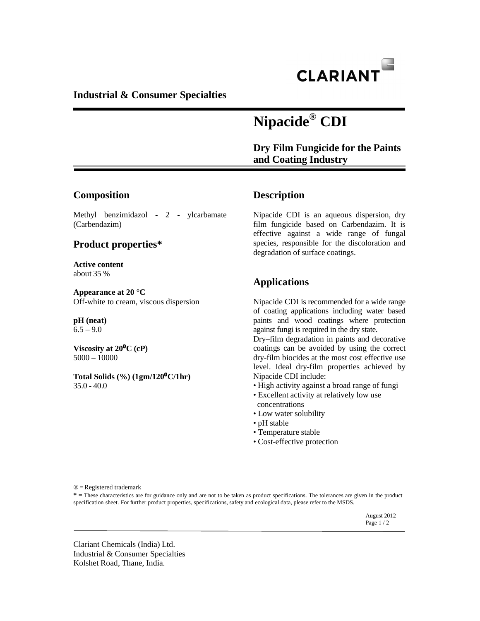

## **Industrial & Consumer Specialties**

# **Nipacide® CDI**

 **Dry Film Fungicide for the Paints and Coating Industry** 

# **Composition**

Methyl benzimidazol - 2 - ylcarbamate (Carbendazim)

### **Product properties\***

**Active content** about 35 %

**Appearance at 20 °C** Off-white to cream, viscous dispersion

#### **pH (neat)**  $6.5 - 9.0$

**Viscosity at 20**⁰**C (cP)**  5000 – 10000

**Total Solids (%) (1gm/120**⁰**C/1hr)**  35.0 - 40.0

# **Description**

Nipacide CDI is an aqueous dispersion, dry film fungicide based on Carbendazim. It is effective against a wide range of fungal species, responsible for the discoloration and degradation of surface coatings.

# **Applications**

Nipacide CDI is recommended for a wide range of coating applications including water based paints and wood coatings where protection against fungi is required in the dry state.

Dry–film degradation in paints and decorative coatings can be avoided by using the correct dry-film biocides at the most cost effective use level. Ideal dry-film properties achieved by Nipacide CDI include:

- High activity against a broad range of fungi
- Excellent activity at relatively low use concentrations
- Low water solubility
- pH stable
- Temperature stable
- Cost-effective protection

® = Registered trademark

**\* =** These characteristics are for guidance only and are not to be taken as product specifications. The tolerances are given in the product specification sheet. For further product properties, specifications, safety and ecological data, please refer to the MSDS.

 August 2012 Page  $1/2$ 

Clariant Chemicals (India) Ltd. Industrial & Consumer Specialties Kolshet Road, Thane, India.